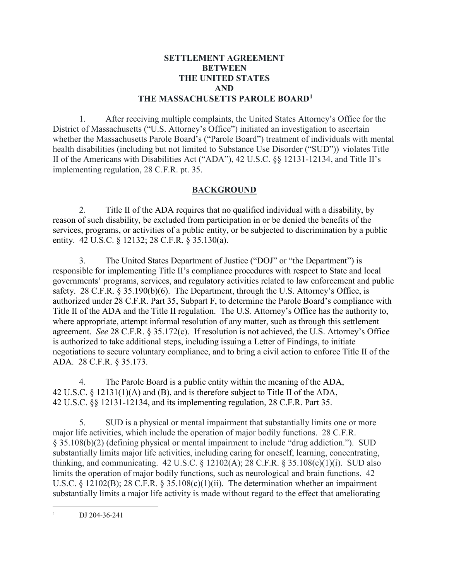### **SETTLEMENT AGREEMENT BETWEEN THE UNITED STATES AND THE MASSACHUSETTS PAROLE BOARD[1](#page-0-0)**

1. After receiving multiple complaints, the United States Attorney's Office for the District of Massachusetts ("U.S. Attorney's Office") initiated an investigation to ascertain whether the Massachusetts Parole Board's ("Parole Board") treatment of individuals with mental health disabilities (including but not limited to Substance Use Disorder ("SUD")) violates Title II of the Americans with Disabilities Act ("ADA"), 42 U.S.C. §§ 12131-12134, and Title II's implementing regulation, 28 C.F.R. pt. 35.

## **BACKGROUND**

2. Title II of the ADA requires that no qualified individual with a disability, by reason of such disability, be excluded from participation in or be denied the benefits of the services, programs, or activities of a public entity, or be subjected to discrimination by a public entity. 42 U.S.C. § 12132; 28 C.F.R. § 35.130(a).

3. The United States Department of Justice ("DOJ" or "the Department") is responsible for implementing Title II's compliance procedures with respect to State and local governments' programs, services, and regulatory activities related to law enforcement and public safety. 28 C.F.R. § 35.190(b)(6). The Department, through the U.S. Attorney's Office, is authorized under 28 C.F.R. Part 35, Subpart F, to determine the Parole Board's compliance with Title II of the ADA and the Title II regulation. The U.S. Attorney's Office has the authority to, where appropriate, attempt informal resolution of any matter, such as through this settlement agreement. *See* 28 C.F.R. § 35.172(c). If resolution is not achieved, the U.S. Attorney's Office is authorized to take additional steps, including issuing a Letter of Findings, to initiate negotiations to secure voluntary compliance, and to bring a civil action to enforce Title II of the ADA. 28 C.F.R. § 35.173.

4. The Parole Board is a public entity within the meaning of the ADA, 42 U.S.C. § 12131(1)(A) and (B), and is therefore subject to Title II of the ADA, 42 U.S.C. §§ 12131-12134, and its implementing regulation, 28 C.F.R. Part 35.

5. SUD is a physical or mental impairment that substantially limits one or more major life activities, which include the operation of major bodily functions. 28 C.F.R. § 35.108(b)(2) (defining physical or mental impairment to include "drug addiction."). SUD substantially limits major life activities, including caring for oneself, learning, concentrating, thinking, and communicating. 42 U.S.C. § 12102(A); 28 C.F.R. § 35.108(c)(1)(i). SUD also limits the operation of major bodily functions, such as neurological and brain functions. 42 U.S.C. § 12102(B); 28 C.F.R. § 35.108(c)(1)(ii). The determination whether an impairment substantially limits a major life activity is made without regard to the effect that ameliorating

<span id="page-0-0"></span> $\frac{1}{1}$ DJ 204-36-241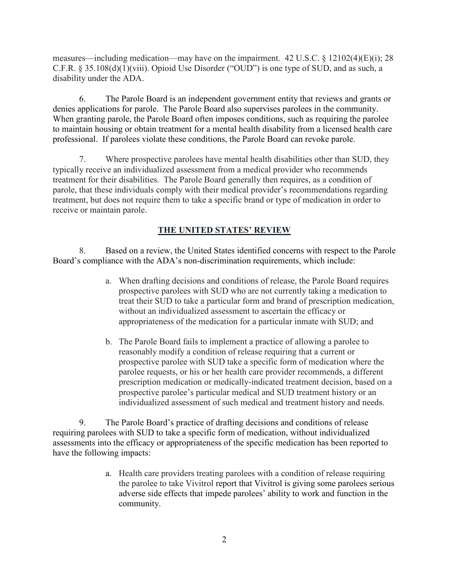measures—including medication—may have on the impairment. 42 U.S.C. § 12102(4)(E)(i); 28 C.F.R. § 35.108(d)(1)(viii). Opioid Use Disorder ("OUD") is one type of SUD, and as such, a disability under the ADA.

6. The Parole Board is an independent government entity that reviews and grants or denies applications for parole. The Parole Board also supervises parolees in the community. When granting parole, the Parole Board often imposes conditions, such as requiring the parolee to maintain housing or obtain treatment for a mental health disability from a licensed health care professional. If parolees violate these conditions, the Parole Board can revoke parole.

7. Where prospective parolees have mental health disabilities other than SUD, they typically receive an individualized assessment from a medical provider who recommends treatment for their disabilities. The Parole Board generally then requires, as a condition of parole, that these individuals comply with their medical provider's recommendations regarding treatment, but does not require them to take a specific brand or type of medication in order to receive or maintain parole.

# **THE UNITED STATES' REVIEW**

8. Based on a review, the United States identified concerns with respect to the Parole Board's compliance with the ADA's non-discrimination requirements, which include:

- a. When drafting decisions and conditions of release, the Parole Board requires prospective parolees with SUD who are not currently taking a medication to treat their SUD to take a particular form and brand of prescription medication, without an individualized assessment to ascertain the efficacy or appropriateness of the medication for a particular inmate with SUD; and
- b. The Parole Board fails to implement a practice of allowing a parolee to reasonably modify a condition of release requiring that a current or prospective parolee with SUD take a specific form of medication where the parolee requests, or his or her health care provider recommends, a different prescription medication or medically-indicated treatment decision, based on a prospective parolee's particular medical and SUD treatment history or an individualized assessment of such medical and treatment history and needs.

9. The Parole Board's practice of drafting decisions and conditions of release requiring parolees with SUD to take a specific form of medication, without individualized assessments into the efficacy or appropriateness of the specific medication has been reported to have the following impacts:

> a. Health care providers treating parolees with a condition of release requiring the parolee to take Vivitrol report that Vivitrol is giving some parolees serious adverse side effects that impede parolees' ability to work and function in the community.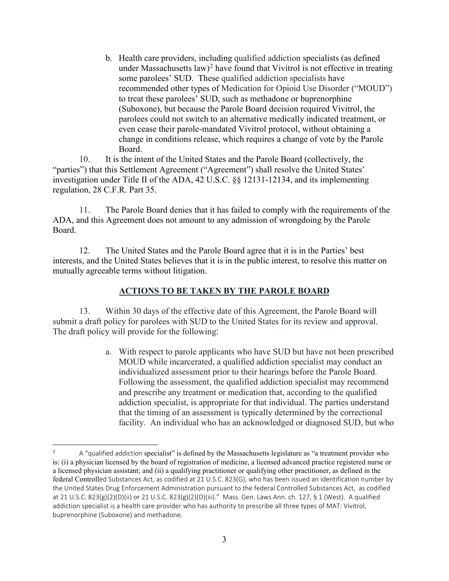b. Health care providers, including qualified addiction specialists (as defined under Massachusetts law)<sup>[2](#page-2-0)</sup> have found that Vivitrol is not effective in treating some parolees' SUD. These qualified addiction specialists have recommended other types of Medication for Opioid Use Disorder ("MOUD") to treat these parolees' SUD, such as methadone or buprenorphine (Suboxone), but because the Parole Board decision required Vivitrol, the parolees could not switch to an alternative medically indicated treatment, or even cease their parole-mandated Vivitrol protocol, without obtaining a change in conditions release, which requires a change of vote by the Parole Board.

10. It is the intent of the United States and the Parole Board (collectively, the "parties") that this Settlement Agreement ("Agreement") shall resolve the United States' investigation under Title II of the ADA, 42 U.S.C. §§ 12131-12134, and its implementing regulation, 28 C.F.R. Part 35.

11. The Parole Board denies that it has failed to comply with the requirements of the ADA, and this Agreement does not amount to any admission of wrongdoing by the Parole Board.

12. The United States and the Parole Board agree that it is in the Parties' best interests, and the United States believes that it is in the public interest, to resolve this matter on mutually agreeable terms without litigation.

### **ACTIONS TO BE TAKEN BY THE PAROLE BOARD**

13. Within 30 days of the effective date of this Agreement, the Parole Board will submit a draft policy for parolees with SUD to the United States for its review and approval. The draft policy will provide for the following:

> a. With respect to parole applicants who have SUD but have not been prescribed MOUD while incarcerated, a qualified addiction specialist may conduct an individualized assessment prior to their hearings before the Parole Board. Following the assessment, the qualified addiction specialist may recommend and prescribe any treatment or medication that, according to the qualified addiction specialist, is appropriate for that individual. The parties understand that the timing of an assessment is typically determined by the correctional facility. An individual who has an acknowledged or diagnosed SUD, but who

<span id="page-2-0"></span> $\frac{1}{2}$  A "qualified addiction specialist" is defined by the Massachusetts legislature as "a treatment provider who is: (i) a physician licensed by the board of registration of medicine, a licensed advanced practice registered nurse or a licensed physician assistant; and (ii) a qualifying practitioner or qualifying other practitioner, as defined in the federal Controlled Substances Act, as codified at 21 U.S.C. 823(G), who has been issued an identification number by the United States Drug Enforcement Administration pursuant to the federal Controlled Substances Act, as codified at 21 U.S.C. 823(g)(2)(D)(ii) or 21 U.S.C. 823(g)(2)(D)(iii)." Mass. Gen. Laws Ann. ch. 127, § 1 (West). A qualified addiction specialist is a health care provider who has authority to prescribe all three types of MAT: Vivitrol, buprenorphine (Suboxone) and methadone.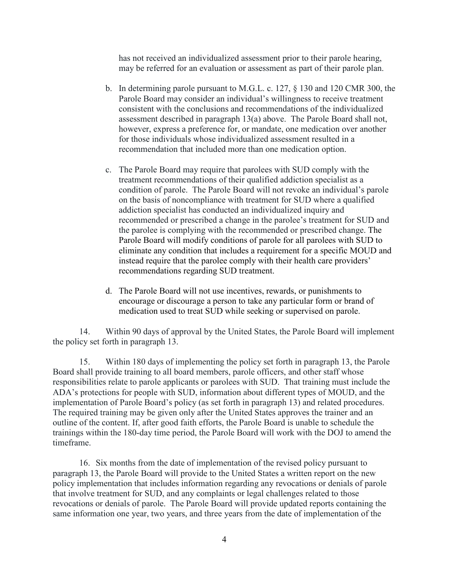has not received an individualized assessment prior to their parole hearing, may be referred for an evaluation or assessment as part of their parole plan.

- b. In determining parole pursuant to M.G.L. c. 127, § 130 and 120 CMR 300, the Parole Board may consider an individual's willingness to receive treatment consistent with the conclusions and recommendations of the individualized assessment described in paragraph 13(a) above. The Parole Board shall not, however, express a preference for, or mandate, one medication over another for those individuals whose individualized assessment resulted in a recommendation that included more than one medication option.
- c. The Parole Board may require that parolees with SUD comply with the treatment recommendations of their qualified addiction specialist as a condition of parole. The Parole Board will not revoke an individual's parole on the basis of noncompliance with treatment for SUD where a qualified addiction specialist has conducted an individualized inquiry and recommended or prescribed a change in the parolee's treatment for SUD and the parolee is complying with the recommended or prescribed change. The Parole Board will modify conditions of parole for all parolees with SUD to eliminate any condition that includes a requirement for a specific MOUD and instead require that the parolee comply with their health care providers' recommendations regarding SUD treatment.
- d. The Parole Board will not use incentives, rewards, or punishments to encourage or discourage a person to take any particular form or brand of medication used to treat SUD while seeking or supervised on parole.

14. Within 90 days of approval by the United States, the Parole Board will implement the policy set forth in paragraph 13.

15. Within 180 days of implementing the policy set forth in paragraph 13, the Parole Board shall provide training to all board members, parole officers, and other staff whose responsibilities relate to parole applicants or parolees with SUD. That training must include the ADA's protections for people with SUD, information about different types of MOUD, and the implementation of Parole Board's policy (as set forth in paragraph 13) and related procedures. The required training may be given only after the United States approves the trainer and an outline of the content. If, after good faith efforts, the Parole Board is unable to schedule the trainings within the 180-day time period, the Parole Board will work with the DOJ to amend the timeframe.

16. Six months from the date of implementation of the revised policy pursuant to paragraph 13, the Parole Board will provide to the United States a written report on the new policy implementation that includes information regarding any revocations or denials of parole that involve treatment for SUD, and any complaints or legal challenges related to those revocations or denials of parole. The Parole Board will provide updated reports containing the same information one year, two years, and three years from the date of implementation of the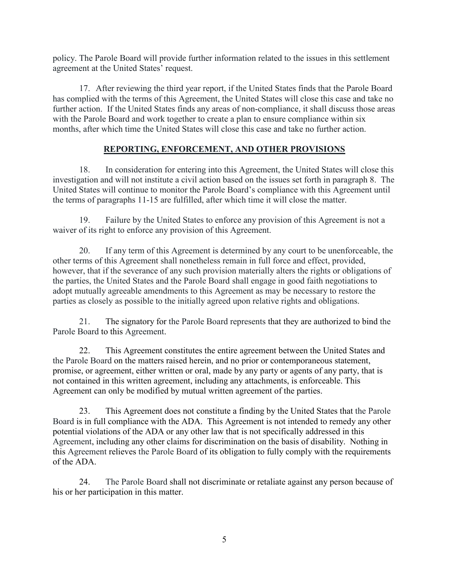policy. The Parole Board will provide further information related to the issues in this settlement agreement at the United States' request.

17. After reviewing the third year report, if the United States finds that the Parole Board has complied with the terms of this Agreement, the United States will close this case and take no further action. If the United States finds any areas of non-compliance, it shall discuss those areas with the Parole Board and work together to create a plan to ensure compliance within six months, after which time the United States will close this case and take no further action.

## **REPORTING, ENFORCEMENT, AND OTHER PROVISIONS**

18. In consideration for entering into this Agreement, the United States will close this investigation and will not institute a civil action based on the issues set forth in paragraph 8. The United States will continue to monitor the Parole Board's compliance with this Agreement until the terms of paragraphs 11-15 are fulfilled, after which time it will close the matter.

19. Failure by the United States to enforce any provision of this Agreement is not a waiver of its right to enforce any provision of this Agreement.

20. If any term of this Agreement is determined by any court to be unenforceable, the other terms of this Agreement shall nonetheless remain in full force and effect, provided, however, that if the severance of any such provision materially alters the rights or obligations of the parties, the United States and the Parole Board shall engage in good faith negotiations to adopt mutually agreeable amendments to this Agreement as may be necessary to restore the parties as closely as possible to the initially agreed upon relative rights and obligations.

21. The signatory for the Parole Board represents that they are authorized to bind the Parole Board to this Agreement.

22. This Agreement constitutes the entire agreement between the United States and the Parole Board on the matters raised herein, and no prior or contemporaneous statement, promise, or agreement, either written or oral, made by any party or agents of any party, that is not contained in this written agreement, including any attachments, is enforceable. This Agreement can only be modified by mutual written agreement of the parties.

23. This Agreement does not constitute a finding by the United States that the Parole Board is in full compliance with the ADA. This Agreement is not intended to remedy any other potential violations of the ADA or any other law that is not specifically addressed in this Agreement, including any other claims for discrimination on the basis of disability. Nothing in this Agreement relieves the Parole Board of its obligation to fully comply with the requirements of the ADA.

24. The Parole Board shall not discriminate or retaliate against any person because of his or her participation in this matter.